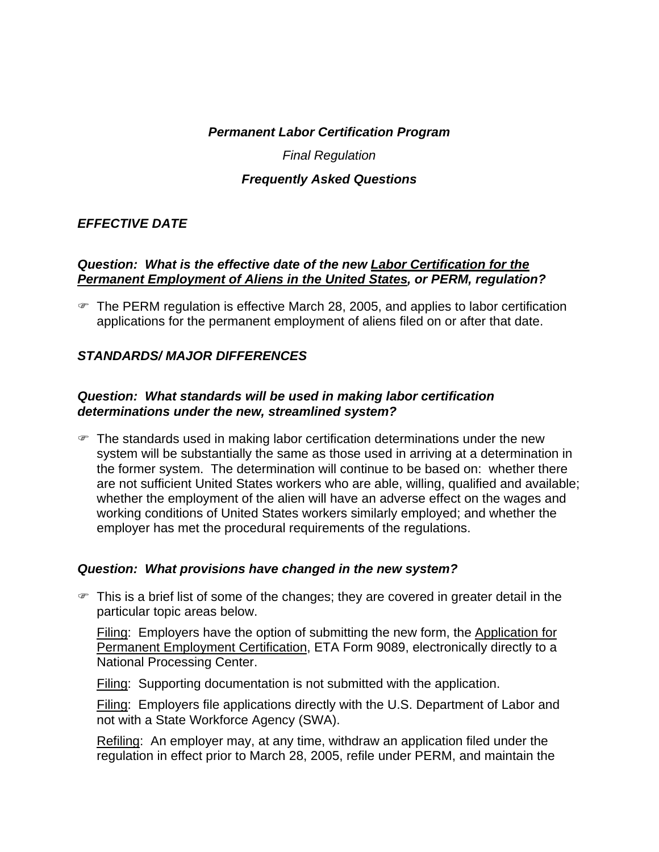*Permanent Labor Certification Program* 

*Final Regulation* 

### *Frequently Asked Questions*

### *EFFECTIVE DATE*

#### *Question: What is the effective date of the new Labor Certification for the Permanent Employment of Aliens in the United States, or PERM, regulation?*

) The PERM regulation is effective March 28, 2005, and applies to labor certification applications for the permanent employment of aliens filed on or after that date.

### *STANDARDS/ MAJOR DIFFERENCES*

### *Question: What standards will be used in making labor certification determinations under the new, streamlined system?*

 $\mathcal F$  The standards used in making labor certification determinations under the new system will be substantially the same as those used in arriving at a determination in the former system. The determination will continue to be based on: whether there are not sufficient United States workers who are able, willing, qualified and available; whether the employment of the alien will have an adverse effect on the wages and working conditions of United States workers similarly employed; and whether the employer has met the procedural requirements of the regulations.

### *Question: What provisions have changed in the new system?*

 $\mathcal{F}$  This is a brief list of some of the changes; they are covered in greater detail in the particular topic areas below.

Filing: Employers have the option of submitting the new form, the Application for Permanent Employment Certification, ETA Form 9089, electronically directly to a National Processing Center.

Filing: Supporting documentation is not submitted with the application.

Filing: Employers file applications directly with the U.S. Department of Labor and not with a State Workforce Agency (SWA).

Refiling: An employer may, at any time, withdraw an application filed under the regulation in effect prior to March 28, 2005, refile under PERM, and maintain the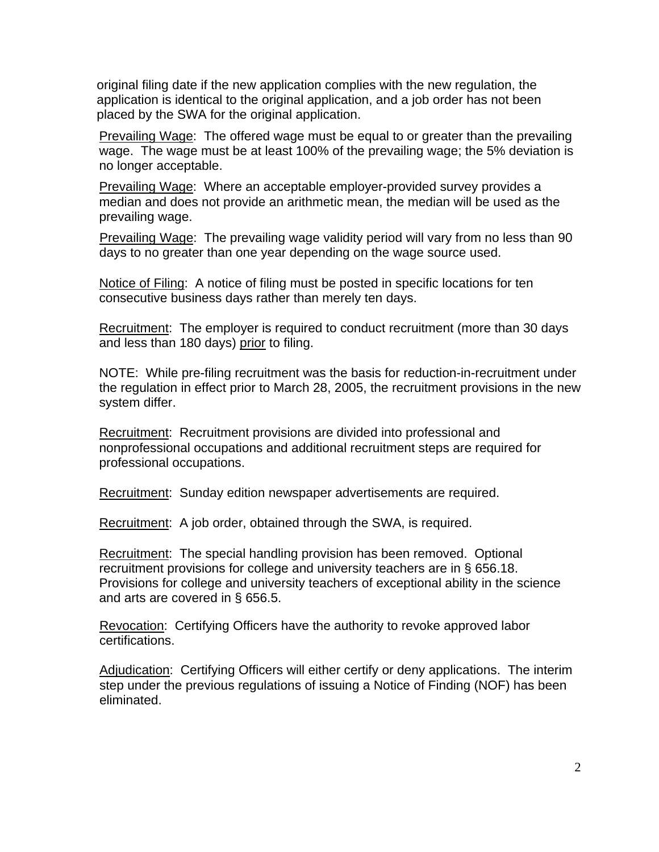original filing date if the new application complies with the new regulation, the application is identical to the original application, and a job order has not been placed by the SWA for the original application.

Prevailing Wage: The offered wage must be equal to or greater than the prevailing wage. The wage must be at least 100% of the prevailing wage; the 5% deviation is no longer acceptable.

Prevailing Wage: Where an acceptable employer-provided survey provides a median and does not provide an arithmetic mean, the median will be used as the prevailing wage.

Prevailing Wage: The prevailing wage validity period will vary from no less than 90 days to no greater than one year depending on the wage source used.

Notice of Filing: A notice of filing must be posted in specific locations for ten consecutive business days rather than merely ten days.

Recruitment: The employer is required to conduct recruitment (more than 30 days and less than 180 days) prior to filing.

NOTE: While pre-filing recruitment was the basis for reduction-in-recruitment under the regulation in effect prior to March 28, 2005, the recruitment provisions in the new system differ.

Recruitment: Recruitment provisions are divided into professional and nonprofessional occupations and additional recruitment steps are required for professional occupations.

Recruitment: Sunday edition newspaper advertisements are required.

Recruitment: A job order, obtained through the SWA, is required.

Recruitment: The special handling provision has been removed. Optional recruitment provisions for college and university teachers are in § 656.18. Provisions for college and university teachers of exceptional ability in the science and arts are covered in § 656.5.

Revocation: Certifying Officers have the authority to revoke approved labor certifications.

Adjudication: Certifying Officers will either certify or deny applications. The interim step under the previous regulations of issuing a Notice of Finding (NOF) has been eliminated.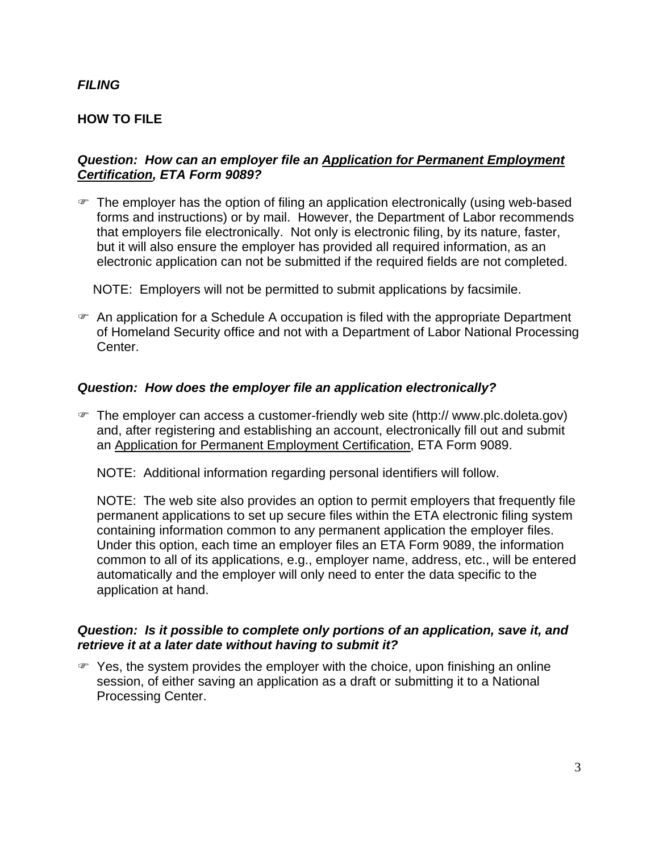### *FILING*

### **HOW TO FILE**

#### *Question: How can an employer file an Application for Permanent Employment Certification, ETA Form 9089?*

 $\blacktriangleright$  The employer has the option of filing an application electronically (using web-based forms and instructions) or by mail. However, the Department of Labor recommends that employers file electronically. Not only is electronic filing, by its nature, faster, but it will also ensure the employer has provided all required information, as an electronic application can not be submitted if the required fields are not completed.

NOTE: Employers will not be permitted to submit applications by facsimile.

 $\mathcal{F}$  An application for a Schedule A occupation is filed with the appropriate Department of Homeland Security office and not with a Department of Labor National Processing Center.

### *Question: How does the employer file an application electronically?*

) The employer can access a customer-friendly web site (http:// www.plc.doleta.gov) and, after registering and establishing an account, electronically fill out and submit an Application for Permanent Employment Certification, ETA Form 9089.

NOTE: Additional information regarding personal identifiers will follow.

NOTE: The web site also provides an option to permit employers that frequently file permanent applications to set up secure files within the ETA electronic filing system containing information common to any permanent application the employer files. Under this option, each time an employer files an ETA Form 9089, the information common to all of its applications, e.g., employer name, address, etc., will be entered automatically and the employer will only need to enter the data specific to the application at hand.

#### *Question: Is it possible to complete only portions of an application, save it, and retrieve it at a later date without having to submit it?*

 $\mathcal{F}$  Yes, the system provides the employer with the choice, upon finishing an online session, of either saving an application as a draft or submitting it to a National Processing Center.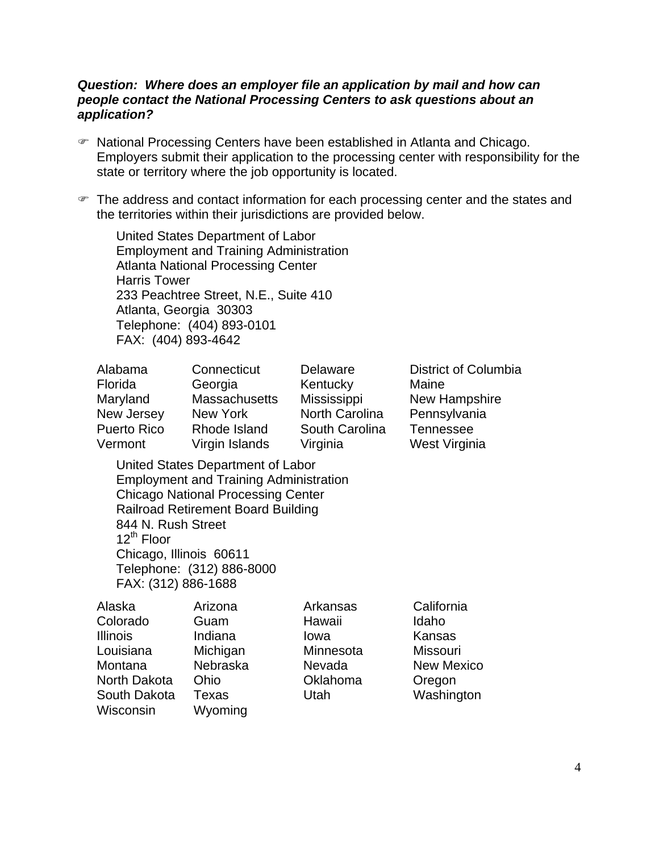#### *Question: Where does an employer file an application by mail and how can people contact the National Processing Centers to ask questions about an application?*

- ) National Processing Centers have been established in Atlanta and Chicago. Employers submit their application to the processing center with responsibility for the state or territory where the job opportunity is located.
- ) The address and contact information for each processing center and the states and the territories within their jurisdictions are provided below.

United States Department of Labor Employment and Training Administration Atlanta National Processing Center Harris Tower 233 Peachtree Street, N.E., Suite 410 Atlanta, Georgia 30303 Telephone: (404) 893-0101 FAX: (404) 893-4642

| Alabama            | Connecticut    | Delaware              | <b>District of Columbia</b> |
|--------------------|----------------|-----------------------|-----------------------------|
| Florida            | Georgia        | Kentucky              | Maine                       |
| Maryland           | Massachusetts  | Mississippi           | New Hampshire               |
| New Jersey         | New York       | <b>North Carolina</b> | Pennsylvania                |
| <b>Puerto Rico</b> | Rhode Island   | South Carolina        | Tennessee                   |
| Vermont            | Virgin Islands | Virginia              | West Virginia               |
|                    |                |                       |                             |

United States Department of Labor Employment and Training Administration Chicago National Processing Center Railroad Retirement Board Building 844 N. Rush Street 12<sup>th</sup> Floor Chicago, Illinois 60611 Telephone: (312) 886-8000 FAX: (312) 886-1688

| Alaska          | Arizona  | Arkansas  | California        |
|-----------------|----------|-----------|-------------------|
| Colorado        | Guam     | Hawaii    | Idaho             |
| <b>Illinois</b> | Indiana  | lowa      | Kansas            |
| Louisiana       | Michigan | Minnesota | <b>Missouri</b>   |
| Montana         | Nebraska | Nevada    | <b>New Mexico</b> |
| North Dakota    | Ohio     | Oklahoma  | Oregon            |
| South Dakota    | Texas    | Utah      | Washington        |
| Wisconsin       | Wyoming  |           |                   |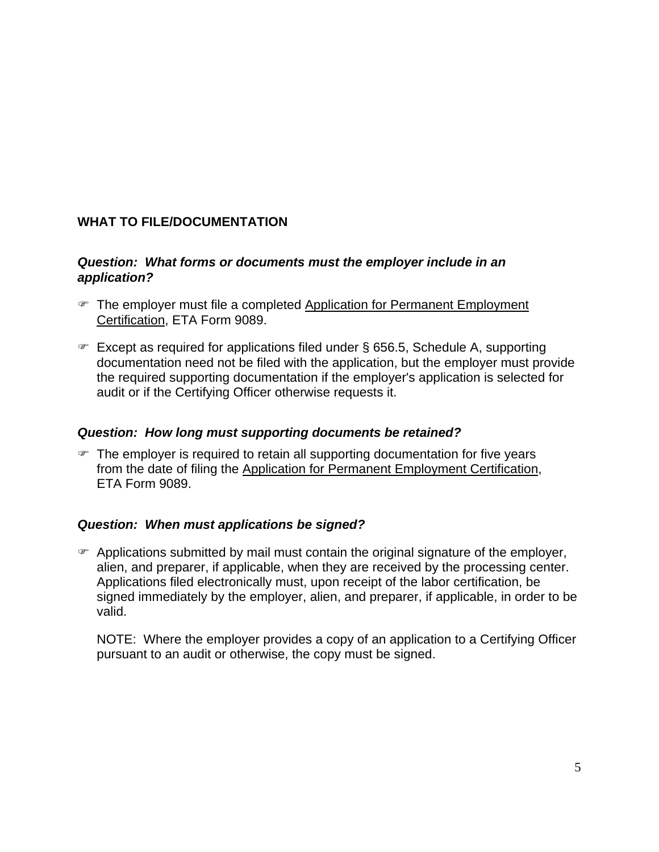# **WHAT TO FILE/DOCUMENTATION**

### *Question: What forms or documents must the employer include in an application?*

- The employer must file a completed Application for Permanent Employment Certification, ETA Form 9089.
- $\in$  Except as required for applications filed under § 656.5, Schedule A, supporting documentation need not be filed with the application, but the employer must provide the required supporting documentation if the employer's application is selected for audit or if the Certifying Officer otherwise requests it.

### *Question: How long must supporting documents be retained?*

 $\blacktriangleright$  The employer is required to retain all supporting documentation for five years from the date of filing the Application for Permanent Employment Certification, ETA Form 9089.

# *Question: When must applications be signed?*

 $\mathcal{F}$  Applications submitted by mail must contain the original signature of the employer, alien, and preparer, if applicable, when they are received by the processing center. Applications filed electronically must, upon receipt of the labor certification, be signed immediately by the employer, alien, and preparer, if applicable, in order to be valid.

NOTE: Where the employer provides a copy of an application to a Certifying Officer pursuant to an audit or otherwise, the copy must be signed.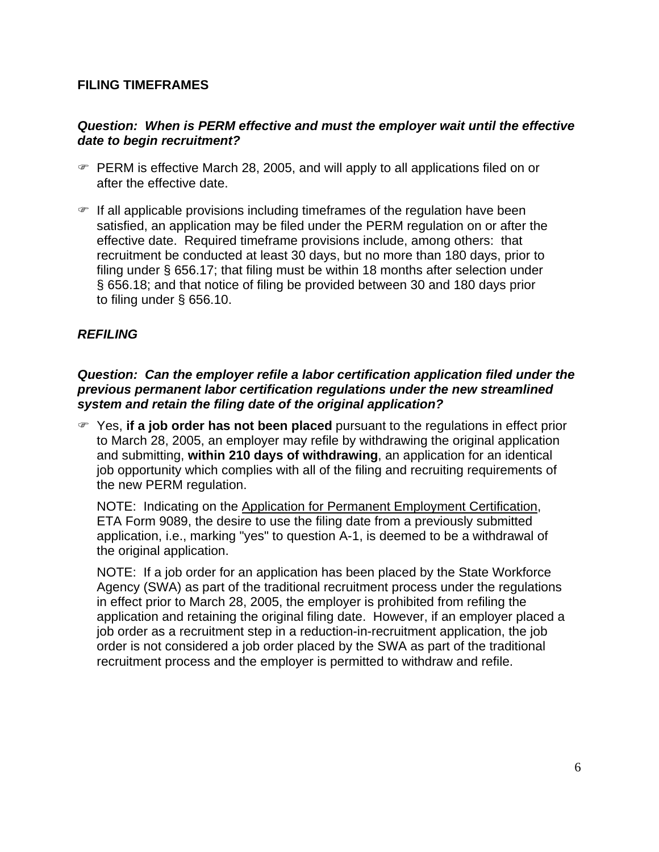### **FILING TIMEFRAMES**

### *Question: When is PERM effective and must the employer wait until the effective date to begin recruitment?*

- $\blacktriangleright$  PERM is effective March 28, 2005, and will apply to all applications filed on or after the effective date.
- $\mathcal{F}$  If all applicable provisions including timeframes of the regulation have been satisfied, an application may be filed under the PERM regulation on or after the effective date. Required timeframe provisions include, among others: that recruitment be conducted at least 30 days, but no more than 180 days, prior to filing under § 656.17; that filing must be within 18 months after selection under § 656.18; and that notice of filing be provided between 30 and 180 days prior to filing under § 656.10.

# *REFILING*

### *Question: Can the employer refile a labor certification application filed under the previous permanent labor certification regulations under the new streamlined system and retain the filing date of the original application?*

) Yes, **if a job order has not been placed** pursuant to the regulations in effect prior to March 28, 2005, an employer may refile by withdrawing the original application and submitting, **within 210 days of withdrawing**, an application for an identical job opportunity which complies with all of the filing and recruiting requirements of the new PERM regulation.

NOTE: Indicating on the Application for Permanent Employment Certification, ETA Form 9089, the desire to use the filing date from a previously submitted application, i.e., marking "yes" to question A-1, is deemed to be a withdrawal of the original application.

NOTE: If a job order for an application has been placed by the State Workforce Agency (SWA) as part of the traditional recruitment process under the regulations in effect prior to March 28, 2005, the employer is prohibited from refiling the application and retaining the original filing date. However, if an employer placed a job order as a recruitment step in a reduction-in-recruitment application, the job order is not considered a job order placed by the SWA as part of the traditional recruitment process and the employer is permitted to withdraw and refile.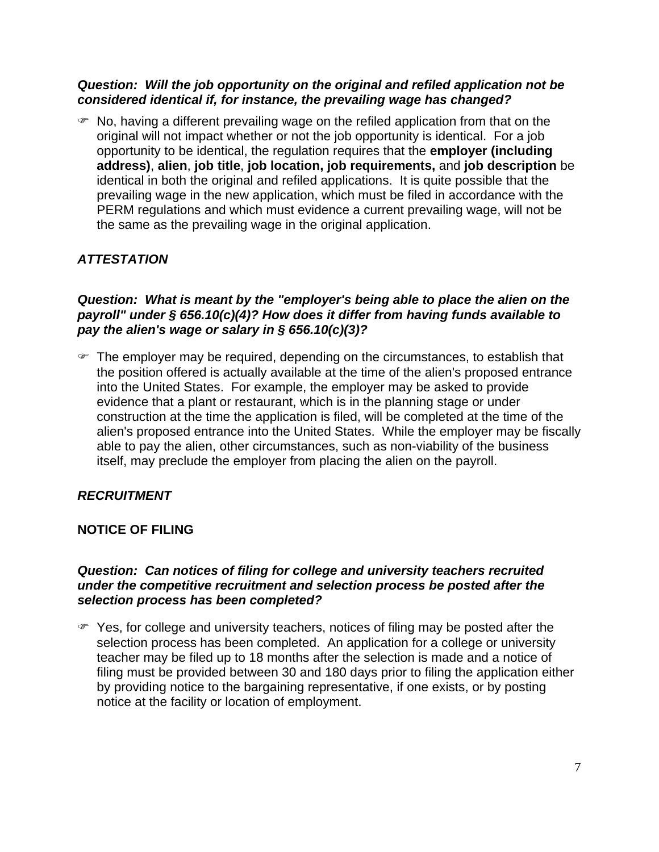#### *Question: Will the job opportunity on the original and refiled application not be considered identical if, for instance, the prevailing wage has changed?*

 $\mathcal{F}$  No, having a different prevailing wage on the refiled application from that on the original will not impact whether or not the job opportunity is identical. For a job opportunity to be identical, the regulation requires that the **employer (including address)**, **alien**, **job title**, **job location, job requirements,** and **job description** be identical in both the original and refiled applications. It is quite possible that the prevailing wage in the new application, which must be filed in accordance with the PERM regulations and which must evidence a current prevailing wage, will not be the same as the prevailing wage in the original application.

# *ATTESTATION*

### *Question: What is meant by the "employer's being able to place the alien on the payroll" under § 656.10(c)(4)? How does it differ from having funds available to pay the alien's wage or salary in § 656.10(c)(3)?*

 $\blacktriangleright$  The employer may be required, depending on the circumstances, to establish that the position offered is actually available at the time of the alien's proposed entrance into the United States. For example, the employer may be asked to provide evidence that a plant or restaurant, which is in the planning stage or under construction at the time the application is filed, will be completed at the time of the alien's proposed entrance into the United States. While the employer may be fiscally able to pay the alien, other circumstances, such as non-viability of the business itself, may preclude the employer from placing the alien on the payroll.

# *RECRUITMENT*

# **NOTICE OF FILING**

### *Question: Can notices of filing for college and university teachers recruited under the competitive recruitment and selection process be posted after the selection process has been completed?*

 $\mathcal{F}$  Yes, for college and university teachers, notices of filing may be posted after the selection process has been completed. An application for a college or university teacher may be filed up to 18 months after the selection is made and a notice of filing must be provided between 30 and 180 days prior to filing the application either by providing notice to the bargaining representative, if one exists, or by posting notice at the facility or location of employment.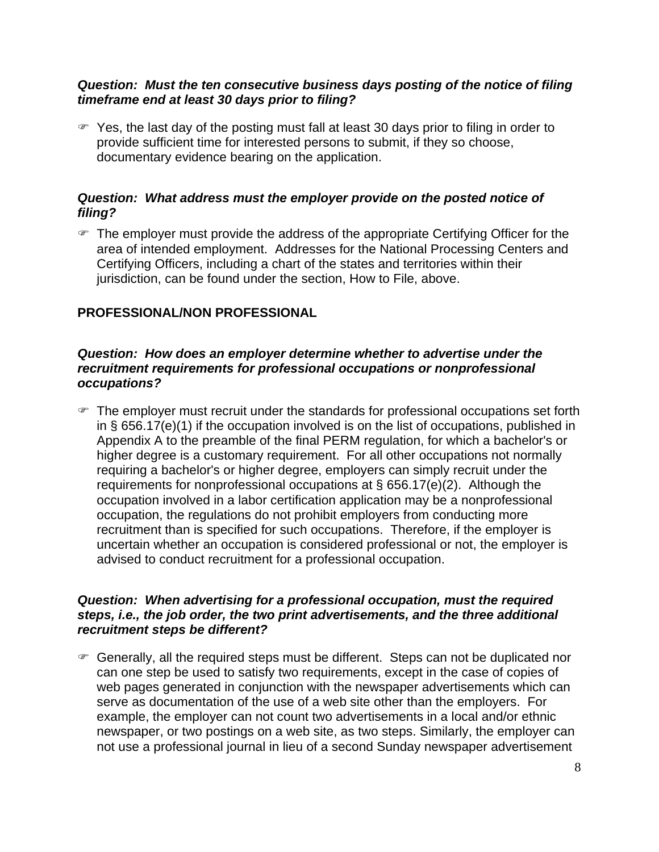### *Question: Must the ten consecutive business days posting of the notice of filing timeframe end at least 30 days prior to filing?*

 $\mathcal F$  Yes, the last day of the posting must fall at least 30 days prior to filing in order to provide sufficient time for interested persons to submit, if they so choose, documentary evidence bearing on the application.

### *Question: What address must the employer provide on the posted notice of filing?*

• The employer must provide the address of the appropriate Certifying Officer for the area of intended employment. Addresses for the National Processing Centers and Certifying Officers, including a chart of the states and territories within their jurisdiction, can be found under the section. How to File, above.

# **PROFESSIONAL/NON PROFESSIONAL**

#### *Question: How does an employer determine whether to advertise under the recruitment requirements for professional occupations or nonprofessional occupations?*

 $\mathcal F$  The employer must recruit under the standards for professional occupations set forth in § 656.17(e)(1) if the occupation involved is on the list of occupations, published in Appendix A to the preamble of the final PERM regulation, for which a bachelor's or higher degree is a customary requirement. For all other occupations not normally requiring a bachelor's or higher degree, employers can simply recruit under the requirements for nonprofessional occupations at § 656.17(e)(2). Although the occupation involved in a labor certification application may be a nonprofessional occupation, the regulations do not prohibit employers from conducting more recruitment than is specified for such occupations. Therefore, if the employer is uncertain whether an occupation is considered professional or not, the employer is advised to conduct recruitment for a professional occupation.

### *Question: When advertising for a professional occupation, must the required steps, i.e., the job order, the two print advertisements, and the three additional recruitment steps be different?*

) Generally, all the required steps must be different. Steps can not be duplicated nor can one step be used to satisfy two requirements, except in the case of copies of web pages generated in conjunction with the newspaper advertisements which can serve as documentation of the use of a web site other than the employers. For example, the employer can not count two advertisements in a local and/or ethnic newspaper, or two postings on a web site, as two steps. Similarly, the employer can not use a professional journal in lieu of a second Sunday newspaper advertisement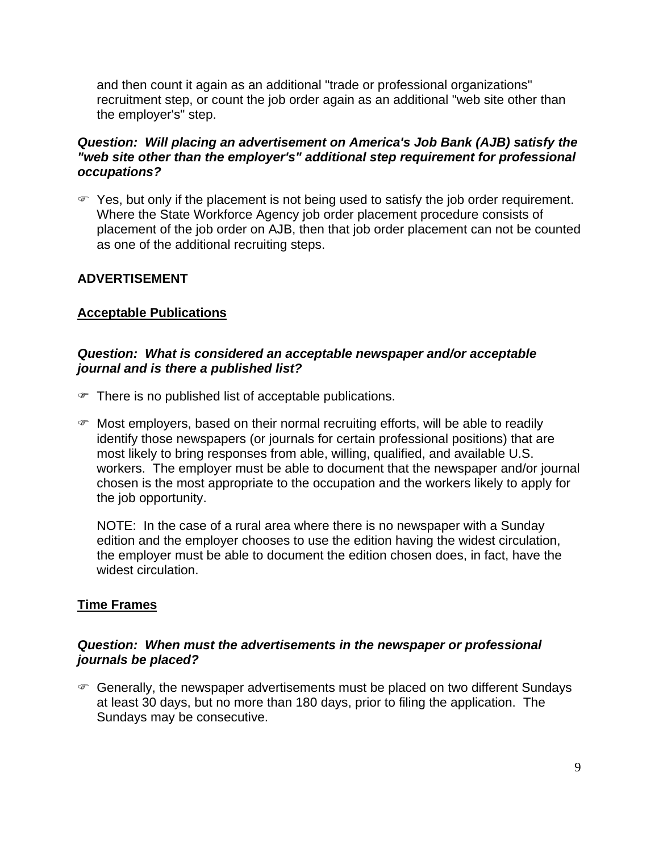and then count it again as an additional "trade or professional organizations" recruitment step, or count the job order again as an additional "web site other than the employer's" step.

### *Question: Will placing an advertisement on America's Job Bank (AJB) satisfy the "web site other than the employer's" additional step requirement for professional occupations?*

) Yes, but only if the placement is not being used to satisfy the job order requirement. Where the State Workforce Agency job order placement procedure consists of placement of the job order on AJB, then that job order placement can not be counted as one of the additional recruiting steps.

### **ADVERTISEMENT**

### **Acceptable Publications**

#### *Question: What is considered an acceptable newspaper and/or acceptable journal and is there a published list?*

- $\mathcal F$  There is no published list of acceptable publications.
- $\blacktriangleright$  Most employers, based on their normal recruiting efforts, will be able to readily identify those newspapers (or journals for certain professional positions) that are most likely to bring responses from able, willing, qualified, and available U.S. workers. The employer must be able to document that the newspaper and/or journal chosen is the most appropriate to the occupation and the workers likely to apply for the job opportunity.

NOTE: In the case of a rural area where there is no newspaper with a Sunday edition and the employer chooses to use the edition having the widest circulation, the employer must be able to document the edition chosen does, in fact, have the widest circulation.

### **Time Frames**

### *Question: When must the advertisements in the newspaper or professional journals be placed?*

 $\mathcal F$  Generally, the newspaper advertisements must be placed on two different Sundays at least 30 days, but no more than 180 days, prior to filing the application. The Sundays may be consecutive.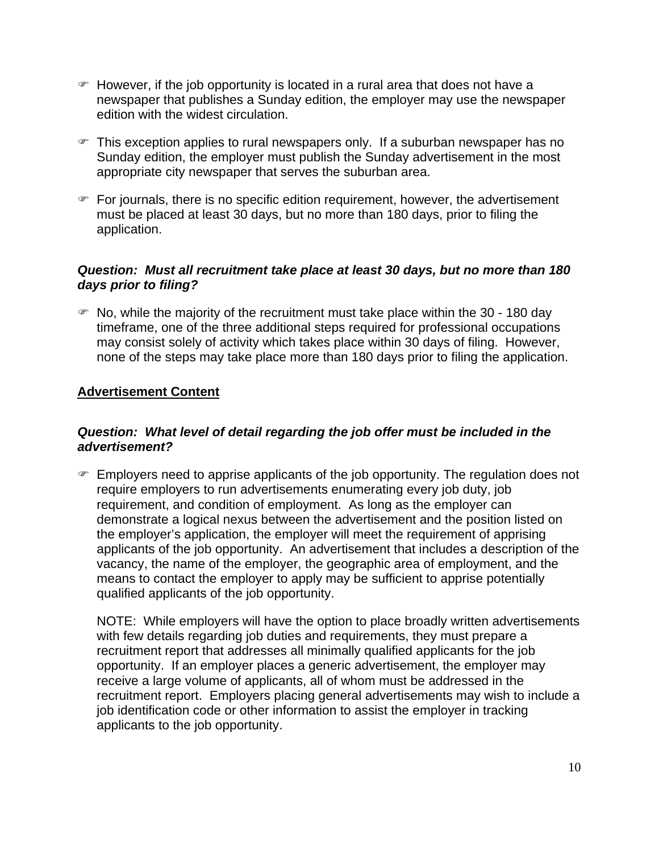- $\mathcal F$  However, if the job opportunity is located in a rural area that does not have a newspaper that publishes a Sunday edition, the employer may use the newspaper edition with the widest circulation.
- $\mathcal F$  This exception applies to rural newspapers only. If a suburban newspaper has no Sunday edition, the employer must publish the Sunday advertisement in the most appropriate city newspaper that serves the suburban area.
- ) For journals, there is no specific edition requirement, however, the advertisement must be placed at least 30 days, but no more than 180 days, prior to filing the application.

### *Question: Must all recruitment take place at least 30 days, but no more than 180 days prior to filing?*

 $\mathcal{F}$  No, while the majority of the recruitment must take place within the 30 - 180 day timeframe, one of the three additional steps required for professional occupations may consist solely of activity which takes place within 30 days of filing. However, none of the steps may take place more than 180 days prior to filing the application.

### **Advertisement Content**

### *Question: What level of detail regarding the job offer must be included in the advertisement?*

 $\in$  Employers need to apprise applicants of the job opportunity. The regulation does not require employers to run advertisements enumerating every job duty, job requirement, and condition of employment. As long as the employer can demonstrate a logical nexus between the advertisement and the position listed on the employer's application, the employer will meet the requirement of apprising applicants of the job opportunity. An advertisement that includes a description of the vacancy, the name of the employer, the geographic area of employment, and the means to contact the employer to apply may be sufficient to apprise potentially qualified applicants of the job opportunity.

NOTE: While employers will have the option to place broadly written advertisements with few details regarding job duties and requirements, they must prepare a recruitment report that addresses all minimally qualified applicants for the job opportunity. If an employer places a generic advertisement, the employer may receive a large volume of applicants, all of whom must be addressed in the recruitment report. Employers placing general advertisements may wish to include a job identification code or other information to assist the employer in tracking applicants to the job opportunity.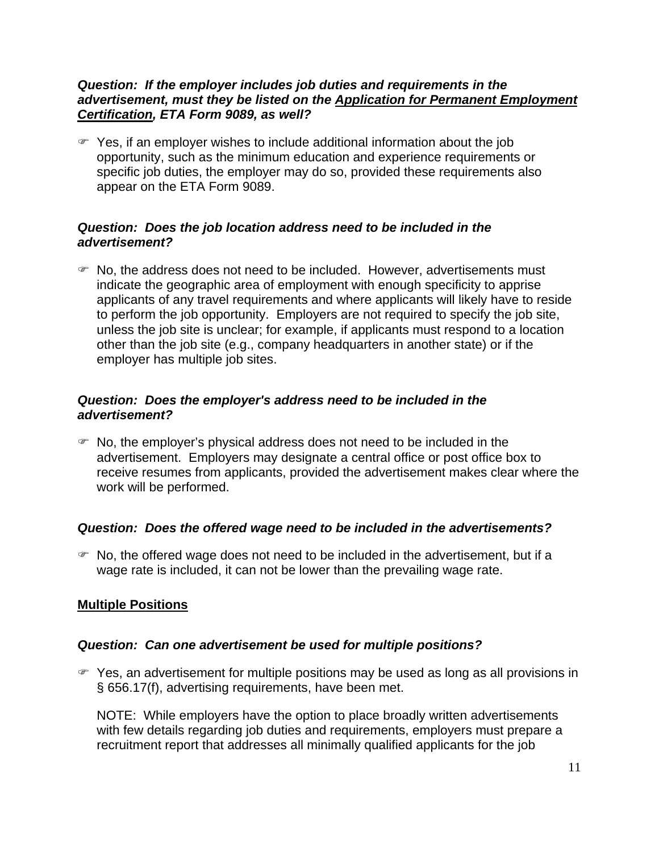#### *Question: If the employer includes job duties and requirements in the advertisement, must they be listed on the Application for Permanent Employment Certification, ETA Form 9089, as well?*

 $\mathcal{F}$  Yes, if an employer wishes to include additional information about the job opportunity, such as the minimum education and experience requirements or specific job duties, the employer may do so, provided these requirements also appear on the ETA Form 9089.

### *Question: Does the job location address need to be included in the advertisement?*

 $\blacktriangleright$  No, the address does not need to be included. However, advertisements must indicate the geographic area of employment with enough specificity to apprise applicants of any travel requirements and where applicants will likely have to reside to perform the job opportunity. Employers are not required to specify the job site, unless the job site is unclear; for example, if applicants must respond to a location other than the job site (e.g., company headquarters in another state) or if the employer has multiple job sites.

### *Question: Does the employer's address need to be included in the advertisement?*

 $\mathcal F$  No, the employer's physical address does not need to be included in the advertisement. Employers may designate a central office or post office box to receive resumes from applicants, provided the advertisement makes clear where the work will be performed.

### *Question: Does the offered wage need to be included in the advertisements?*

 $\mathcal F$  No, the offered wage does not need to be included in the advertisement, but if a wage rate is included, it can not be lower than the prevailing wage rate.

### **Multiple Positions**

### *Question: Can one advertisement be used for multiple positions?*

) Yes, an advertisement for multiple positions may be used as long as all provisions in § 656.17(f), advertising requirements, have been met.

NOTE: While employers have the option to place broadly written advertisements with few details regarding job duties and requirements, employers must prepare a recruitment report that addresses all minimally qualified applicants for the job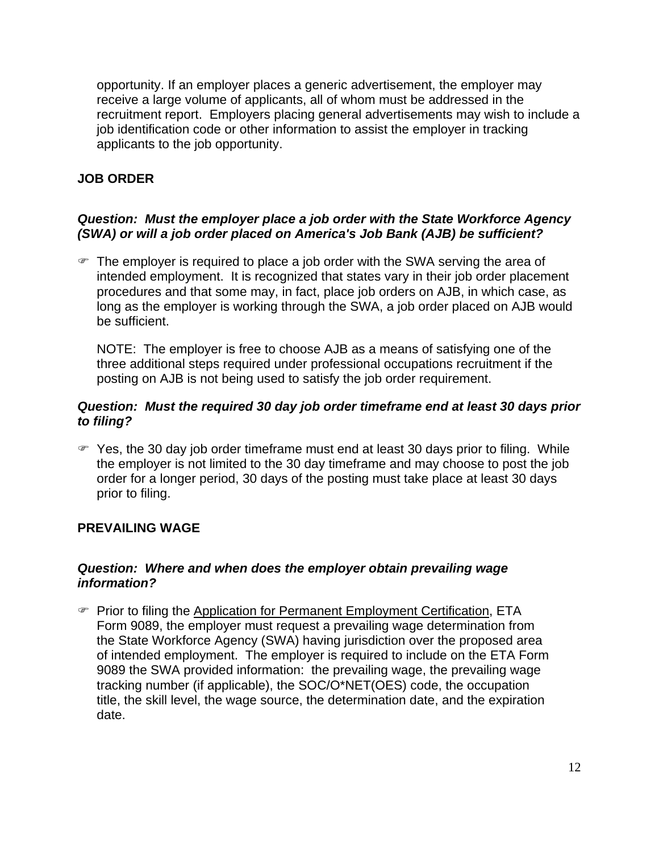opportunity. If an employer places a generic advertisement, the employer may receive a large volume of applicants, all of whom must be addressed in the recruitment report. Employers placing general advertisements may wish to include a job identification code or other information to assist the employer in tracking applicants to the job opportunity.

# **JOB ORDER**

# *Question: Must the employer place a job order with the State Workforce Agency (SWA) or will a job order placed on America's Job Bank (AJB) be sufficient?*

 $\mathcal{F}$  The employer is required to place a job order with the SWA serving the area of intended employment. It is recognized that states vary in their job order placement procedures and that some may, in fact, place job orders on AJB, in which case, as long as the employer is working through the SWA, a job order placed on AJB would be sufficient.

NOTE: The employer is free to choose AJB as a means of satisfying one of the three additional steps required under professional occupations recruitment if the posting on AJB is not being used to satisfy the job order requirement.

### *Question: Must the required 30 day job order timeframe end at least 30 days prior to filing?*

 $\mathcal{F}$  Yes, the 30 day job order timeframe must end at least 30 days prior to filing. While the employer is not limited to the 30 day timeframe and may choose to post the job order for a longer period, 30 days of the posting must take place at least 30 days prior to filing.

# **PREVAILING WAGE**

#### *Question: Where and when does the employer obtain prevailing wage information?*

**Prior to filing the Application for Permanent Employment Certification, ETA** Form 9089, the employer must request a prevailing wage determination from the State Workforce Agency (SWA) having jurisdiction over the proposed area of intended employment. The employer is required to include on the ETA Form 9089 the SWA provided information: the prevailing wage, the prevailing wage tracking number (if applicable), the SOC/O\*NET(OES) code, the occupation title, the skill level, the wage source, the determination date, and the expiration date.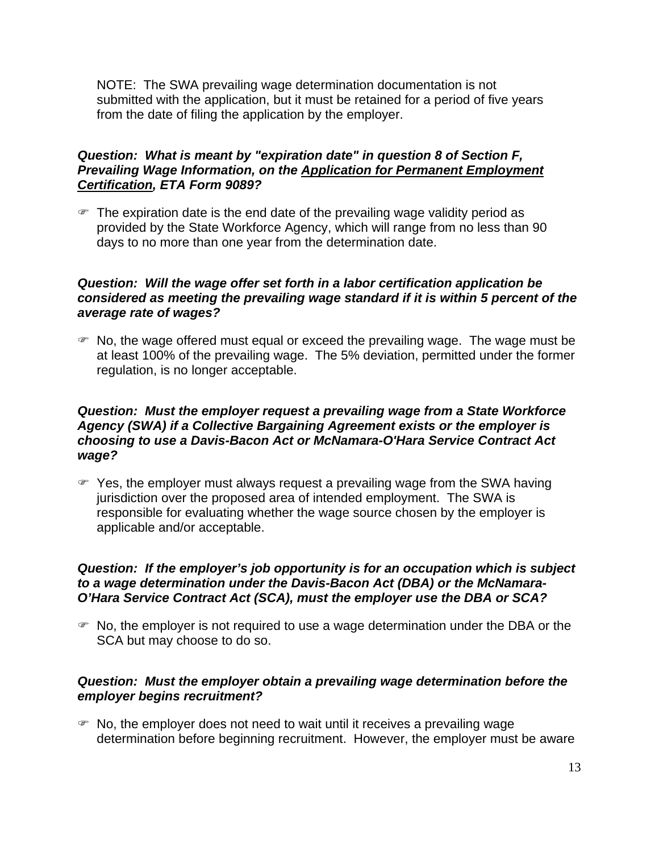NOTE: The SWA prevailing wage determination documentation is not submitted with the application, but it must be retained for a period of five years from the date of filing the application by the employer.

### *Question: What is meant by "expiration date" in question 8 of Section F, Prevailing Wage Information, on the Application for Permanent Employment Certification, ETA Form 9089?*

 $\mathcal{F}$  The expiration date is the end date of the prevailing wage validity period as provided by the State Workforce Agency, which will range from no less than 90 days to no more than one year from the determination date.

### *Question: Will the wage offer set forth in a labor certification application be considered as meeting the prevailing wage standard if it is within 5 percent of the average rate of wages?*

 $\mathcal{F}$  No, the wage offered must equal or exceed the prevailing wage. The wage must be at least 100% of the prevailing wage. The 5% deviation, permitted under the former regulation, is no longer acceptable.

### *Question: Must the employer request a prevailing wage from a State Workforce Agency (SWA) if a Collective Bargaining Agreement exists or the employer is choosing to use a Davis-Bacon Act or McNamara-O'Hara Service Contract Act wage?*

) Yes, the employer must always request a prevailing wage from the SWA having jurisdiction over the proposed area of intended employment. The SWA is responsible for evaluating whether the wage source chosen by the employer is applicable and/or acceptable.

### *Question: If the employer's job opportunity is for an occupation which is subject to a wage determination under the Davis-Bacon Act (DBA) or the McNamara-O'Hara Service Contract Act (SCA), must the employer use the DBA or SCA?*

 $\mathcal{F}$  No, the employer is not required to use a wage determination under the DBA or the SCA but may choose to do so.

### *Question: Must the employer obtain a prevailing wage determination before the employer begins recruitment?*

 $\mathcal{F}$  No, the employer does not need to wait until it receives a prevailing wage determination before beginning recruitment. However, the employer must be aware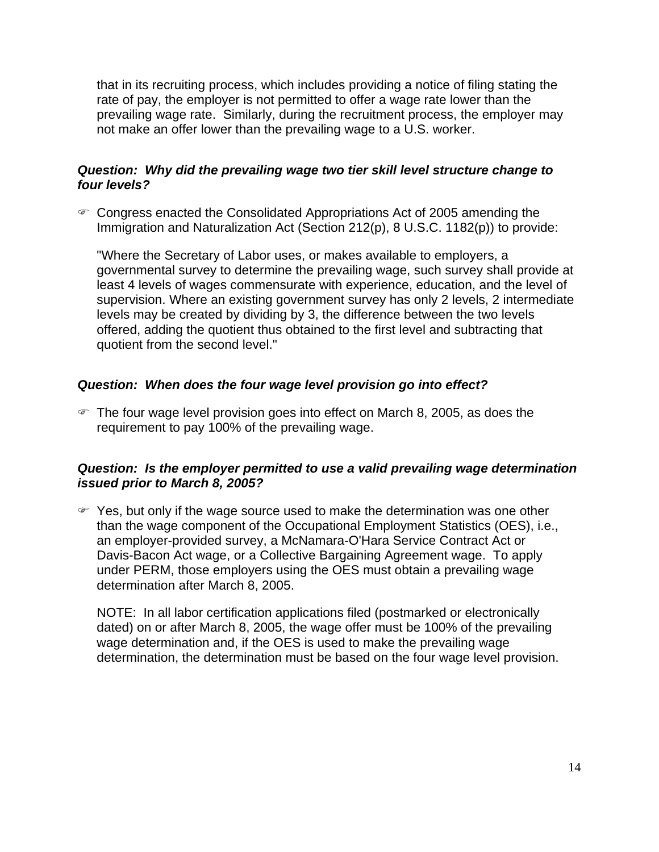that in its recruiting process, which includes providing a notice of filing stating the rate of pay, the employer is not permitted to offer a wage rate lower than the prevailing wage rate. Similarly, during the recruitment process, the employer may not make an offer lower than the prevailing wage to a U.S. worker.

### *Question: Why did the prevailing wage two tier skill level structure change to four levels?*

• Congress enacted the Consolidated Appropriations Act of 2005 amending the Immigration and Naturalization Act (Section 212(p), 8 U.S.C. 1182(p)) to provide:

"Where the Secretary of Labor uses, or makes available to employers, a governmental survey to determine the prevailing wage, such survey shall provide at least 4 levels of wages commensurate with experience, education, and the level of supervision. Where an existing government survey has only 2 levels, 2 intermediate levels may be created by dividing by 3, the difference between the two levels offered, adding the quotient thus obtained to the first level and subtracting that quotient from the second level."

### *Question: When does the four wage level provision go into effect?*

 $\mathcal{F}$  The four wage level provision goes into effect on March 8, 2005, as does the requirement to pay 100% of the prevailing wage.

### *Question: Is the employer permitted to use a valid prevailing wage determination issued prior to March 8, 2005?*

 $\mathcal F$  Yes, but only if the wage source used to make the determination was one other than the wage component of the Occupational Employment Statistics (OES), i.e., an employer-provided survey, a McNamara-O'Hara Service Contract Act or Davis-Bacon Act wage, or a Collective Bargaining Agreement wage. To apply under PERM, those employers using the OES must obtain a prevailing wage determination after March 8, 2005.

NOTE: In all labor certification applications filed (postmarked or electronically dated) on or after March 8, 2005, the wage offer must be 100% of the prevailing wage determination and, if the OES is used to make the prevailing wage determination, the determination must be based on the four wage level provision.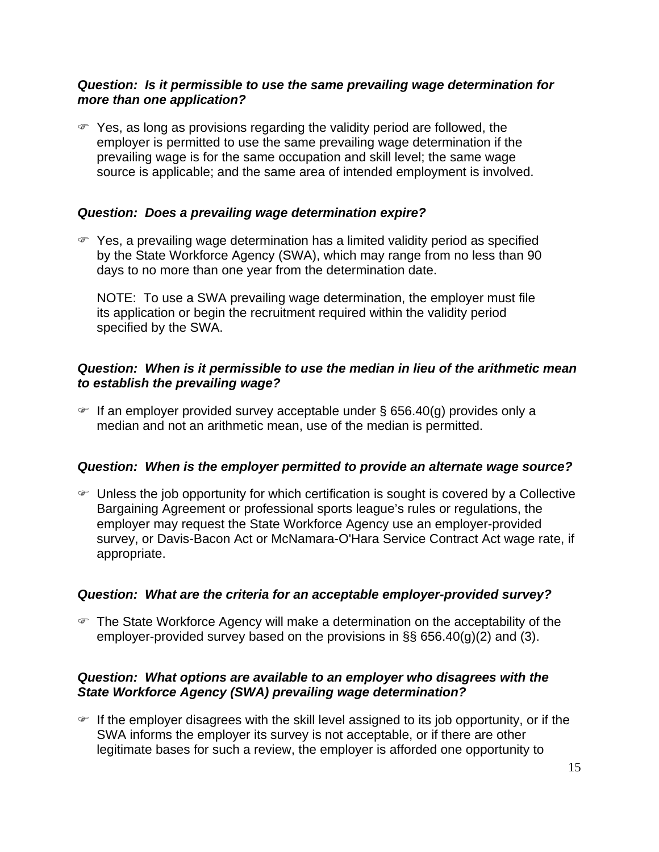#### *Question: Is it permissible to use the same prevailing wage determination for more than one application?*

 $\mathcal F$  Yes, as long as provisions regarding the validity period are followed, the employer is permitted to use the same prevailing wage determination if the prevailing wage is for the same occupation and skill level; the same wage source is applicable; and the same area of intended employment is involved.

#### *Question: Does a prevailing wage determination expire?*

 $\blacktriangleright$  Yes, a prevailing wage determination has a limited validity period as specified by the State Workforce Agency (SWA), which may range from no less than 90 days to no more than one year from the determination date.

NOTE: To use a SWA prevailing wage determination, the employer must file its application or begin the recruitment required within the validity period specified by the SWA.

#### *Question: When is it permissible to use the median in lieu of the arithmetic mean to establish the prevailing wage?*

 $\in$  If an employer provided survey acceptable under § 656.40(g) provides only a median and not an arithmetic mean, use of the median is permitted.

#### *Question: When is the employer permitted to provide an alternate wage source?*

 $\infty$  Unless the job opportunity for which certification is sought is covered by a Collective Bargaining Agreement or professional sports league's rules or regulations, the employer may request the State Workforce Agency use an employer-provided survey, or Davis-Bacon Act or McNamara-O'Hara Service Contract Act wage rate, if appropriate.

### *Question: What are the criteria for an acceptable employer-provided survey?*

• The State Workforce Agency will make a determination on the acceptability of the employer-provided survey based on the provisions in  $\S$ § 656.40(g)(2) and (3).

### *Question: What options are available to an employer who disagrees with the State Workforce Agency (SWA) prevailing wage determination?*

 $\blacktriangleright$  If the employer disagrees with the skill level assigned to its job opportunity, or if the SWA informs the employer its survey is not acceptable, or if there are other legitimate bases for such a review, the employer is afforded one opportunity to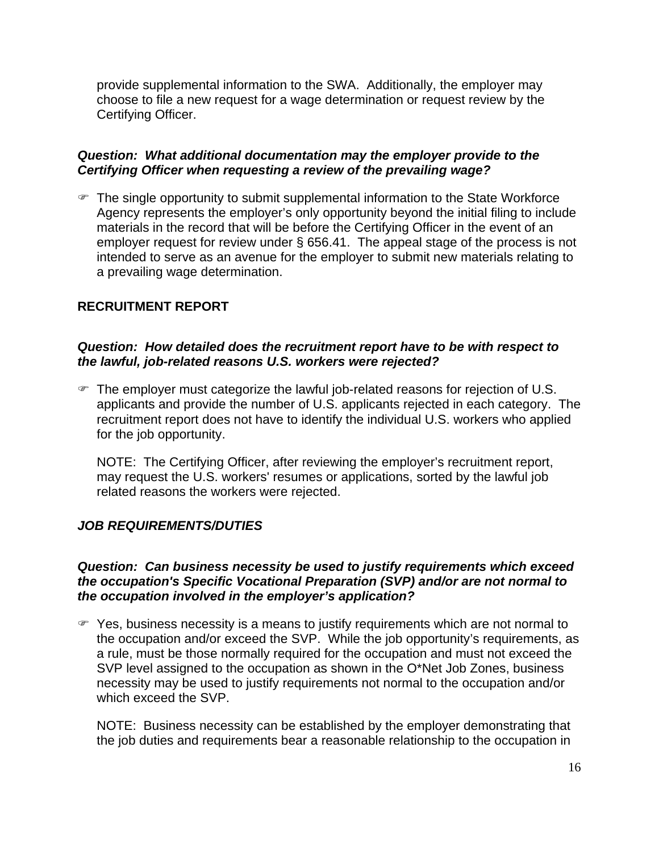provide supplemental information to the SWA. Additionally, the employer may choose to file a new request for a wage determination or request review by the Certifying Officer.

#### *Question: What additional documentation may the employer provide to the Certifying Officer when requesting a review of the prevailing wage?*

 $\mathcal{F}$  The single opportunity to submit supplemental information to the State Workforce Agency represents the employer's only opportunity beyond the initial filing to include materials in the record that will be before the Certifying Officer in the event of an employer request for review under § 656.41. The appeal stage of the process is not intended to serve as an avenue for the employer to submit new materials relating to a prevailing wage determination.

### **RECRUITMENT REPORT**

#### *Question: How detailed does the recruitment report have to be with respect to the lawful, job-related reasons U.S. workers were rejected?*

 $\mathcal{F}$  The employer must categorize the lawful job-related reasons for rejection of U.S. applicants and provide the number of U.S. applicants rejected in each category. The recruitment report does not have to identify the individual U.S. workers who applied for the job opportunity.

NOTE: The Certifying Officer, after reviewing the employer's recruitment report, may request the U.S. workers' resumes or applications, sorted by the lawful job related reasons the workers were rejected.

### *JOB REQUIREMENTS/DUTIES*

#### *Question: Can business necessity be used to justify requirements which exceed the occupation's Specific Vocational Preparation (SVP) and/or are not normal to the occupation involved in the employer's application?*

 $\mathcal{F}$  Yes, business necessity is a means to justify requirements which are not normal to the occupation and/or exceed the SVP. While the job opportunity's requirements, as a rule, must be those normally required for the occupation and must not exceed the SVP level assigned to the occupation as shown in the O\*Net Job Zones, business necessity may be used to justify requirements not normal to the occupation and/or which exceed the SVP.

NOTE: Business necessity can be established by the employer demonstrating that the job duties and requirements bear a reasonable relationship to the occupation in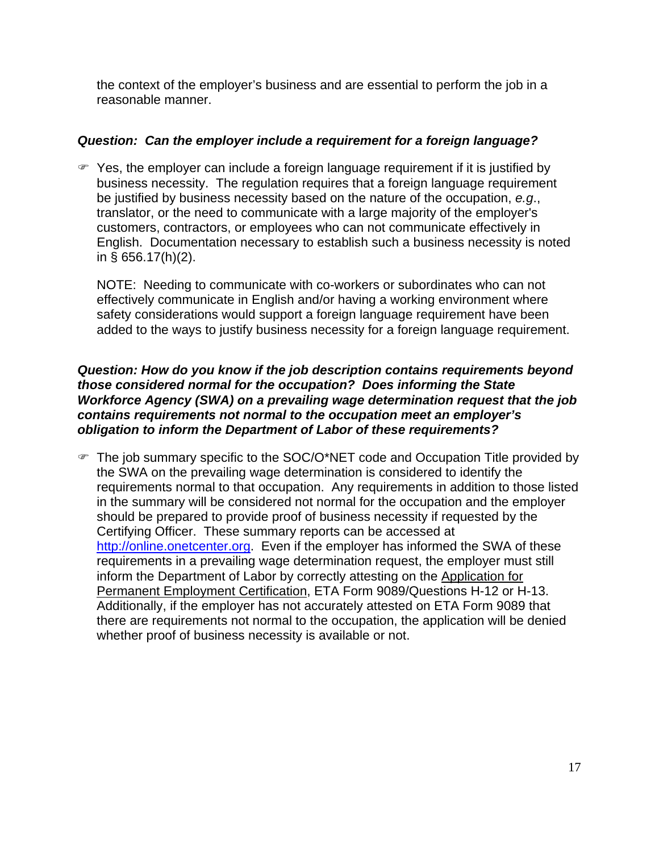the context of the employer's business and are essential to perform the job in a reasonable manner.

# *Question: Can the employer include a requirement for a foreign language?*

 $\mathcal{F}$  Yes, the employer can include a foreign language requirement if it is justified by business necessity. The regulation requires that a foreign language requirement be justified by business necessity based on the nature of the occupation, *e.g*., translator, or the need to communicate with a large majority of the employer's customers, contractors, or employees who can not communicate effectively in English. Documentation necessary to establish such a business necessity is noted in § 656.17(h)(2).

NOTE: Needing to communicate with co-workers or subordinates who can not effectively communicate in English and/or having a working environment where safety considerations would support a foreign language requirement have been added to the ways to justify business necessity for a foreign language requirement.

### *Question: How do you know if the job description contains requirements beyond those considered normal for the occupation? Does informing the State Workforce Agency (SWA) on a prevailing wage determination request that the job contains requirements not normal to the occupation meet an employer's obligation to inform the Department of Labor of these requirements?*

) The job summary specific to the SOC/O\*NET code and Occupation Title provided by the SWA on the prevailing wage determination is considered to identify the requirements normal to that occupation. Any requirements in addition to those listed in the summary will be considered not normal for the occupation and the employer should be prepared to provide proof of business necessity if requested by the Certifying Officer. These summary reports can be accessed at http://online.onetcenter.org. Even if the employer has informed the SWA of these requirements in a prevailing wage determination request, the employer must still inform the Department of Labor by correctly attesting on the Application for Permanent Employment Certification, ETA Form 9089/Questions H-12 or H-13. Additionally, if the employer has not accurately attested on ETA Form 9089 that there are requirements not normal to the occupation, the application will be denied whether proof of business necessity is available or not.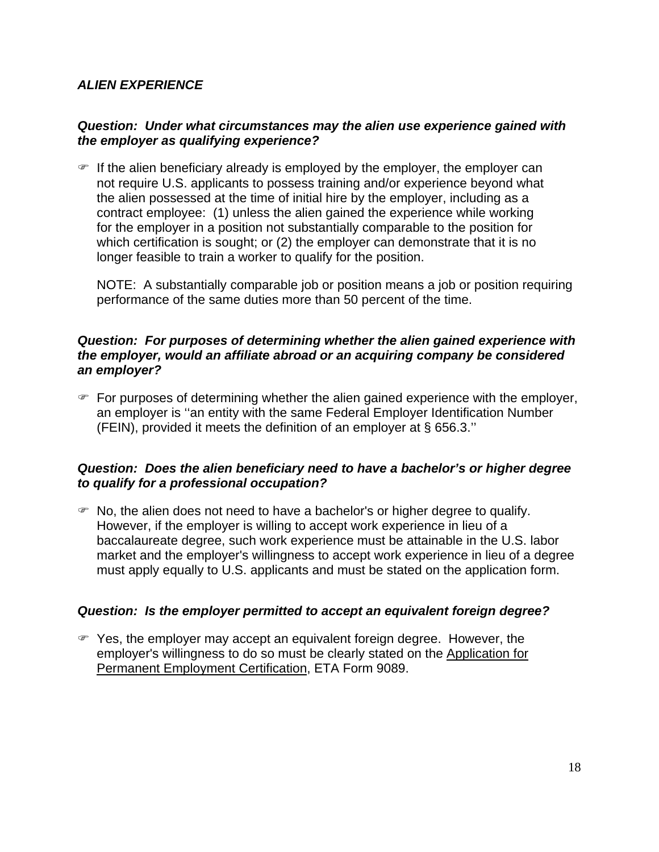### *ALIEN EXPERIENCE*

### *Question: Under what circumstances may the alien use experience gained with the employer as qualifying experience?*

 $\mathcal F$  If the alien beneficiary already is employed by the employer, the employer can not require U.S. applicants to possess training and/or experience beyond what the alien possessed at the time of initial hire by the employer, including as a contract employee: (1) unless the alien gained the experience while working for the employer in a position not substantially comparable to the position for which certification is sought; or (2) the employer can demonstrate that it is no longer feasible to train a worker to qualify for the position.

NOTE: A substantially comparable job or position means a job or position requiring performance of the same duties more than 50 percent of the time.

#### *Question: For purposes of determining whether the alien gained experience with the employer, would an affiliate abroad or an acquiring company be considered an employer?*

 $\mathcal F$  For purposes of determining whether the alien gained experience with the employer, an employer is ''an entity with the same Federal Employer Identification Number (FEIN), provided it meets the definition of an employer at § 656.3.''

### *Question: Does the alien beneficiary need to have a bachelor's or higher degree to qualify for a professional occupation?*

 $\mathcal F$  No, the alien does not need to have a bachelor's or higher degree to qualify. However, if the employer is willing to accept work experience in lieu of a baccalaureate degree, such work experience must be attainable in the U.S. labor market and the employer's willingness to accept work experience in lieu of a degree must apply equally to U.S. applicants and must be stated on the application form.

### *Question: Is the employer permitted to accept an equivalent foreign degree?*

 $\mathcal{F}$  Yes, the employer may accept an equivalent foreign degree. However, the employer's willingness to do so must be clearly stated on the Application for Permanent Employment Certification, ETA Form 9089.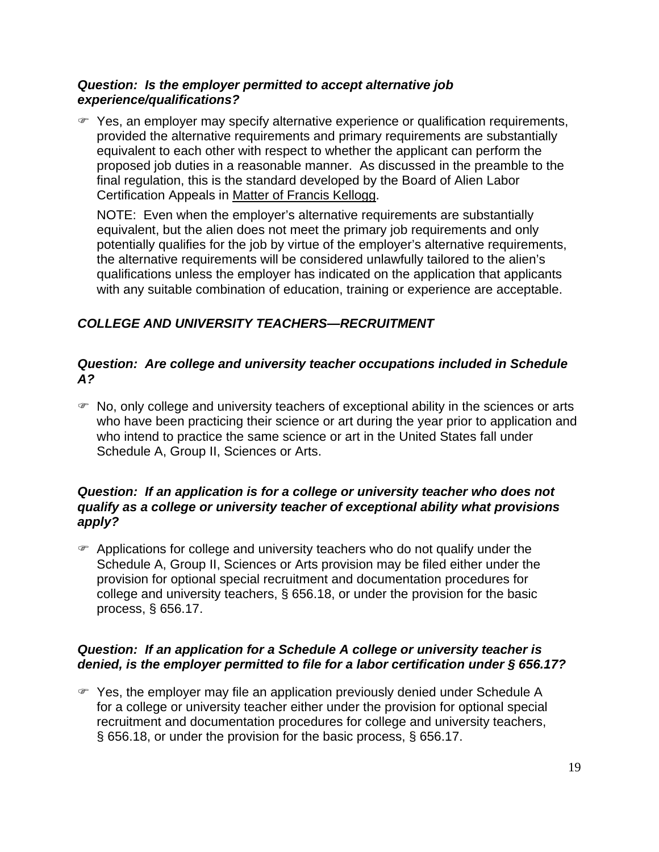#### *Question: Is the employer permitted to accept alternative job experience/qualifications?*

) Yes, an employer may specify alternative experience or qualification requirements, provided the alternative requirements and primary requirements are substantially equivalent to each other with respect to whether the applicant can perform the proposed job duties in a reasonable manner. As discussed in the preamble to the final regulation, this is the standard developed by the Board of Alien Labor Certification Appeals in Matter of Francis Kellogg.

NOTE: Even when the employer's alternative requirements are substantially equivalent, but the alien does not meet the primary job requirements and only potentially qualifies for the job by virtue of the employer's alternative requirements, the alternative requirements will be considered unlawfully tailored to the alien's qualifications unless the employer has indicated on the application that applicants with any suitable combination of education, training or experience are acceptable.

# *COLLEGE AND UNIVERSITY TEACHERS—RECRUITMENT*

### *Question: Are college and university teacher occupations included in Schedule A?*

 $\mathcal{F}$  No, only college and university teachers of exceptional ability in the sciences or arts who have been practicing their science or art during the year prior to application and who intend to practice the same science or art in the United States fall under Schedule A, Group II, Sciences or Arts.

### *Question: If an application is for a college or university teacher who does not qualify as a college or university teacher of exceptional ability what provisions apply?*

 $\mathcal{F}$  Applications for college and university teachers who do not qualify under the Schedule A, Group II, Sciences or Arts provision may be filed either under the provision for optional special recruitment and documentation procedures for college and university teachers, § 656.18, or under the provision for the basic process, § 656.17.

# *Question: If an application for a Schedule A college or university teacher is denied, is the employer permitted to file for a labor certification under § 656.17?*

) Yes, the employer may file an application previously denied under Schedule A for a college or university teacher either under the provision for optional special recruitment and documentation procedures for college and university teachers, § 656.18, or under the provision for the basic process, § 656.17.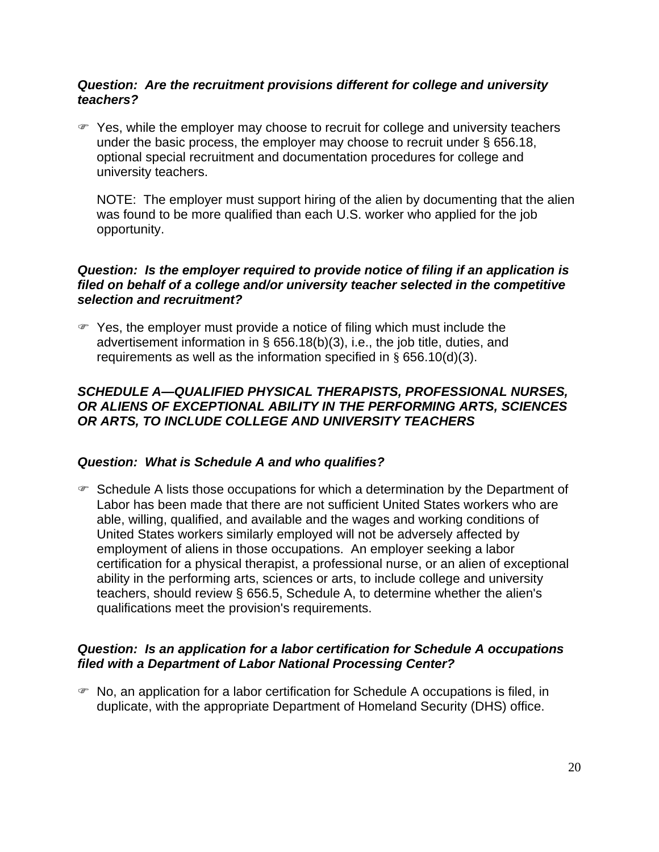### *Question: Are the recruitment provisions different for college and university teachers?*

 $\mathcal F$  Yes, while the employer may choose to recruit for college and university teachers under the basic process, the employer may choose to recruit under § 656.18, optional special recruitment and documentation procedures for college and university teachers.

NOTE: The employer must support hiring of the alien by documenting that the alien was found to be more qualified than each U.S. worker who applied for the job opportunity.

### *Question: Is the employer required to provide notice of filing if an application is filed on behalf of a college and/or university teacher selected in the competitive selection and recruitment?*

 $\mathcal{F}$  Yes, the employer must provide a notice of filing which must include the advertisement information in § 656.18(b)(3), i.e., the job title, duties, and requirements as well as the information specified in § 656.10(d)(3).

### *SCHEDULE A—QUALIFIED PHYSICAL THERAPISTS, PROFESSIONAL NURSES, OR ALIENS OF EXCEPTIONAL ABILITY IN THE PERFORMING ARTS, SCIENCES OR ARTS, TO INCLUDE COLLEGE AND UNIVERSITY TEACHERS*

### *Question: What is Schedule A and who qualifies?*

 $\blacktriangleright$  Schedule A lists those occupations for which a determination by the Department of Labor has been made that there are not sufficient United States workers who are able, willing, qualified, and available and the wages and working conditions of United States workers similarly employed will not be adversely affected by employment of aliens in those occupations. An employer seeking a labor certification for a physical therapist, a professional nurse, or an alien of exceptional ability in the performing arts, sciences or arts, to include college and university teachers, should review § 656.5, Schedule A, to determine whether the alien's qualifications meet the provision's requirements.

### *Question: Is an application for a labor certification for Schedule A occupations filed with a Department of Labor National Processing Center?*

• No, an application for a labor certification for Schedule A occupations is filed, in duplicate, with the appropriate Department of Homeland Security (DHS) office.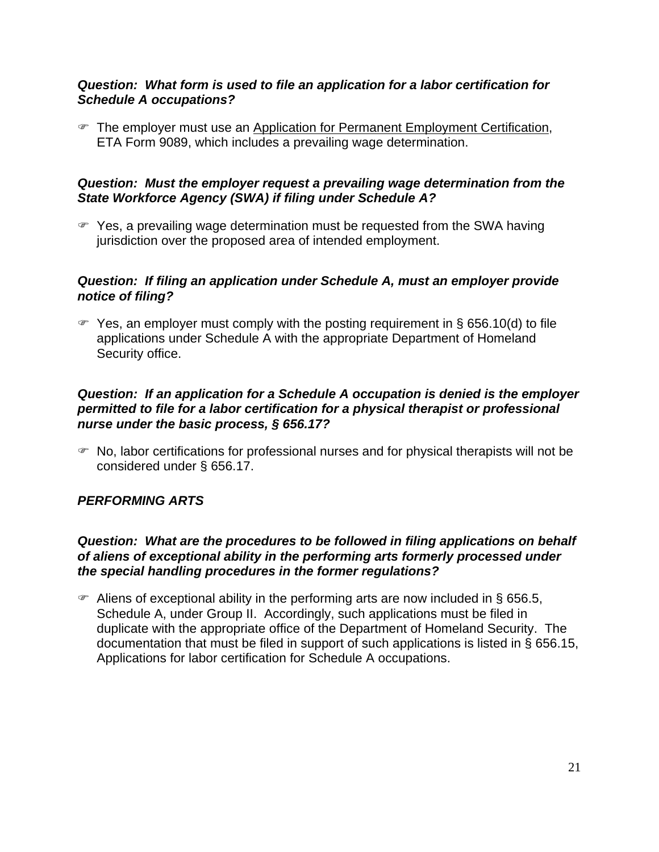#### *Question: What form is used to file an application for a labor certification for Schedule A occupations?*

 $\mathcal F$  The employer must use an Application for Permanent Employment Certification, ETA Form 9089, which includes a prevailing wage determination.

### *Question: Must the employer request a prevailing wage determination from the State Workforce Agency (SWA) if filing under Schedule A?*

 $\mathcal{F}$  Yes, a prevailing wage determination must be requested from the SWA having jurisdiction over the proposed area of intended employment.

### *Question: If filing an application under Schedule A, must an employer provide notice of filing?*

 $\mathcal{F}$  Yes, an employer must comply with the posting requirement in § 656.10(d) to file applications under Schedule A with the appropriate Department of Homeland Security office.

### *Question: If an application for a Schedule A occupation is denied is the employer permitted to file for a labor certification for a physical therapist or professional nurse under the basic process, § 656.17?*

 $\mathcal{F}$  No, labor certifications for professional nurses and for physical therapists will not be considered under § 656.17.

# *PERFORMING ARTS*

### *Question: What are the procedures to be followed in filing applications on behalf of aliens of exceptional ability in the performing arts formerly processed under the special handling procedures in the former regulations?*

 $\blacktriangleright$  Aliens of exceptional ability in the performing arts are now included in § 656.5, Schedule A, under Group II. Accordingly, such applications must be filed in duplicate with the appropriate office of the Department of Homeland Security. The documentation that must be filed in support of such applications is listed in § 656.15, Applications for labor certification for Schedule A occupations.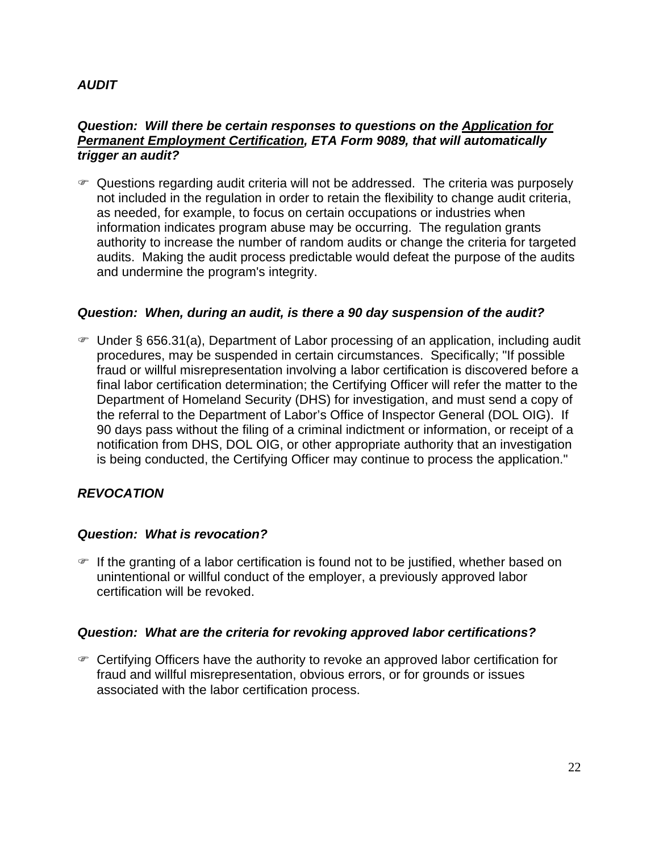# *AUDIT*

#### *Question: Will there be certain responses to questions on the Application for Permanent Employment Certification, ETA Form 9089, that will automatically trigger an audit?*

• Questions regarding audit criteria will not be addressed. The criteria was purposely not included in the regulation in order to retain the flexibility to change audit criteria, as needed, for example, to focus on certain occupations or industries when information indicates program abuse may be occurring. The regulation grants authority to increase the number of random audits or change the criteria for targeted audits. Making the audit process predictable would defeat the purpose of the audits and undermine the program's integrity.

### *Question: When, during an audit, is there a 90 day suspension of the audit?*

) Under § 656.31(a), Department of Labor processing of an application, including audit procedures, may be suspended in certain circumstances. Specifically; "If possible fraud or willful misrepresentation involving a labor certification is discovered before a final labor certification determination; the Certifying Officer will refer the matter to the Department of Homeland Security (DHS) for investigation, and must send a copy of the referral to the Department of Labor's Office of Inspector General (DOL OIG). If 90 days pass without the filing of a criminal indictment or information, or receipt of a notification from DHS, DOL OIG, or other appropriate authority that an investigation is being conducted, the Certifying Officer may continue to process the application."

### *REVOCATION*

### *Question: What is revocation?*

*If the granting of a labor certification is found not to be justified, whether based on* unintentional or willful conduct of the employer, a previously approved labor certification will be revoked.

#### *Question: What are the criteria for revoking approved labor certifications?*

) Certifying Officers have the authority to revoke an approved labor certification for fraud and willful misrepresentation, obvious errors, or for grounds or issues associated with the labor certification process.